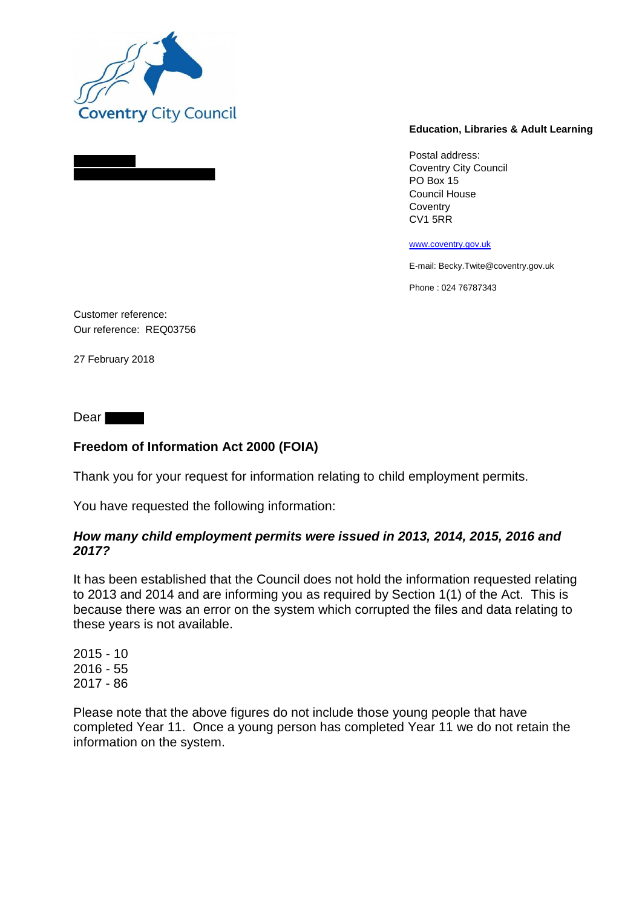

## **Education, Libraries & Adult Learning**

Postal address: Coventry City Council PO Box 15 Council House **Coventry** CV1 5RR

www.coventry.gov.uk

E-mail: Becky.Twite@coventry.gov.uk

Phone : 024 76787343

Customer reference: Our reference: REQ03756

27 February 2018

Dear **Dear** 

## **Freedom of Information Act 2000 (FOIA)**

Thank you for your request for information relating to child employment permits.

You have requested the following information:

## *How many child employment permits were issued in 2013, 2014, 2015, 2016 and 2017?*

It has been established that the Council does not hold the information requested relating to 2013 and 2014 and are informing you as required by Section 1(1) of the Act. This is because there was an error on the system which corrupted the files and data relating to these years is not available.

2015 - 10 2016 - 55 2017 - 86

Please note that the above figures do not include those young people that have completed Year 11. Once a young person has completed Year 11 we do not retain the information on the system.